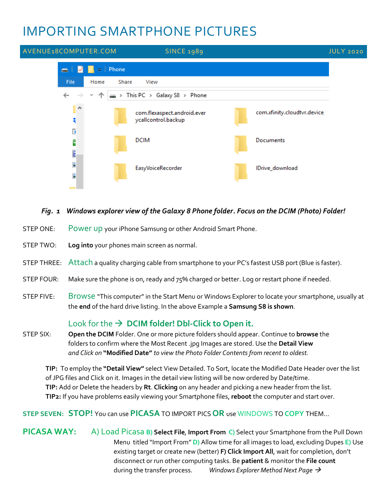# IMPORTING SMARTPHONE PICTURES



#### *Fig. 1 Windows explorer view of the Galaxy 8 Phone folder. Focus on the DCIM (Photo) Folder!*

- STEP ONE: Power up your iPhone Samsung or other Android Smart Phone.
- STEP TWO: **Log into** your phones main screen as normal.
- STEP THREE: Attach a quality charging cable from smartphone to your PC's fastest USB port (Blue is faster).
- STEP FOUR: Make sure the phone is on, ready and 75% charged or better. Log or restart phone if needed.
- STEP FIVE: Browse "This computer" in the Start Menu or Windows Explorer to locate your smartphone, usually at the **end** of the hard drive listing. In the above Example a **Samsung S8 is shown**.

# Look for the → **DCIM folder! Dbl-Click to Open it.**

STEP SIX: **Open the DCIM** Folder. One or more picture folders should appear. Continue to **browse** the folders to confirm where the Most Recent .jpg Images are stored. Use the **Detail View** *and Click on* **"Modified Date"** *to view the Photo Folder Contents from recent to oldest.*

 **TIP:** To employ the **"Detail View"** select View Detailed. To Sort, locate the Modified Date Header over the list of JPG files and Click on it. Images in the detail view listing will be now ordered by Date/time. **TIP:** Add or Delete the headers by **Rt**. **Clicking** on any header and picking a new header from the list. **TIP2:** If you have problems easily viewing your Smartphone files, **reboot** the computer and start over.

#### **STEP SEVEN: STOP!** You can use **PICASA**TO IMPORT PICS **OR** use WINDOWS TO **COPY** THEM…

**PICASA WAY:** A) Load Picasa **B) Select File**, **Import From C)** Select your Smartphone from the Pull Down Menu titled "Import From" **D)** Allow time for all images to load, excluding Dupes **E)** Use existing target or create new (better) **F) Click Import All**, wait for completion, don't disconnect or run other computing tasks. Be **patient** & monitor the **File count** during the transfer process. *Windows Explorer Method Next Page* →